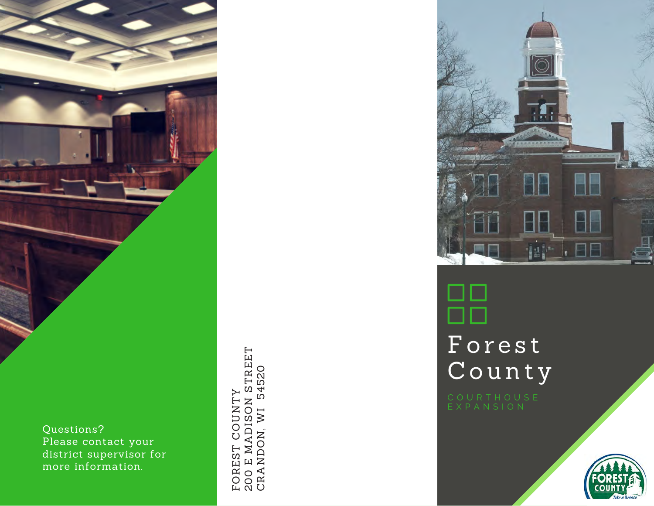

200 E MADISON STREET FOREST COUNTY<br>200 E MADISON STREET<br>CRANDON, WI 54520 CRANDON, WI 54520 FOREST COUNTY



# F o r e s t C o u n t y

E X P A N S I O N